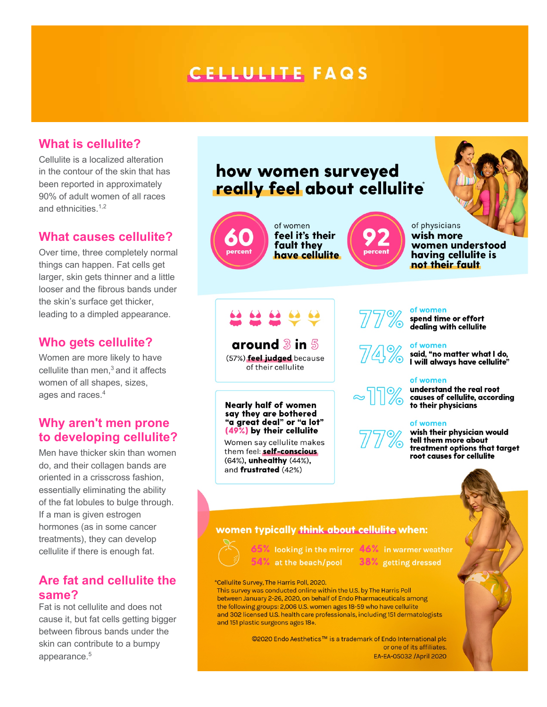# **CELLULITE FAQS**

# **What is cellulite?**

Cellulite is a localized alteration in the contour of the skin that has been reported in approximately 90% of adult women of all races and ethnicities.<sup>1,2</sup>

### **What causes cellulite?**

Over time, three completely normal things can happen. Fat cells get larger, skin gets thinner and a little looser and the fibrous bands under the skin's surface get thicker, leading to a dimpled appearance.

# **Who gets cellulite?**

Women are more likely to have cellulite than men. $3$  and it affects women of all shapes, sizes, ages and races.4

# **Why aren't men prone to developing cellulite?**

Men have thicker skin than women do, and their collagen bands are oriented in a crisscross fashion, essentially eliminating the ability of the fat lobules to bulge through. If a man is given estrogen hormones (as in some cancer treatments), they can develop cellulite if there is enough fat.

# **Are fat and cellulite the same?**

Fat is not cellulite and does not cause it, but fat cells getting bigger between fibrous bands under the skin can contribute to a bumpy appearance.5

# how women surveyed really feel about cellulite



around  $3$  in  $5$ (57%) feel judged because of their cellulite

**Nearly half of women** say they are bothered "a great deal" or "a lot" (49%) by their cellulite

Women say cellulite makes them feel: self-conscious (64%), unhealthy (44%), and frustrated (42%)



### of women

spend time or effort dealing with cellulite

#### of women

said, "no matter what I do,<br>I will always have cellulite"

#### of women

understand the real root causes of cellulite, according to their physicians

#### of women



wish their physician would tell them more about treatment options that target root causes for cellulite



# women typically think about cellulite when:



 $54\%$  at the beach/pool  $38\%$  getting dressed

65% looking in the mirror 46% in warmer weather

\*Cellulite Survey, The Harris Poll, 2020. This survey was conducted online within the U.S. by The Harris Poll between January 2-26, 2020, on behalf of Endo Pharmaceuticals among the following groups: 2,006 U.S. women ages 18-59 who have cellulite and 302 licensed U.S. health care professionals, including 151 dermatologists and 151 plastic surgeons ages 18+.

> ©2020 Endo Aesthetics<sup>™</sup> is a trademark of Endo International plc or one of its affiliates. EA-EA-05032 / April 2020